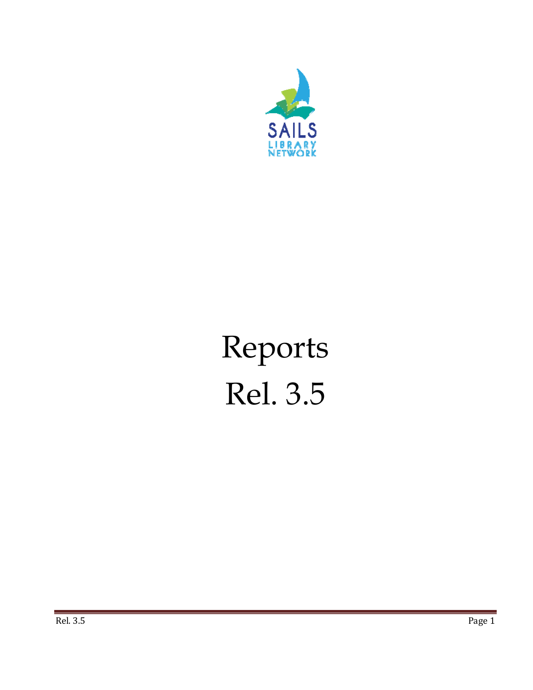

# Reports Rel. 3.5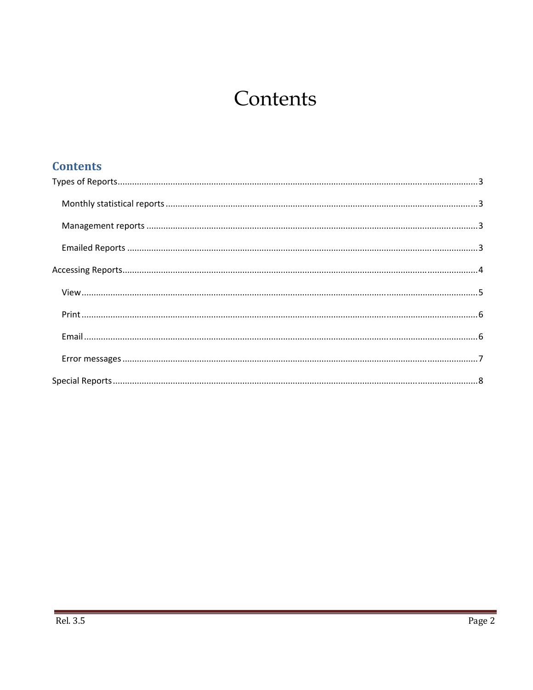## Contents

| <b>Contents</b> |  |
|-----------------|--|
|                 |  |
|                 |  |
|                 |  |
|                 |  |
|                 |  |
|                 |  |
|                 |  |
|                 |  |
|                 |  |
|                 |  |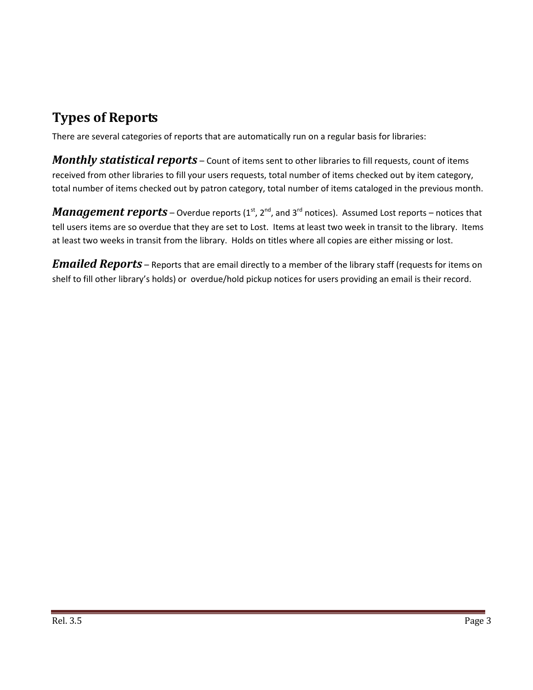## **Types of Reports**

There are several categories of reports that are automatically run on a regular basis for libraries:

*Monthly statistical reports* – Count of items sent to other libraries to fill requests, count of items received from other libraries to fill your users requests, total number of items checked out by item category, total number of items checked out by patron category, total number of items cataloged in the previous month.

*Management reports* – Overdue reports (1<sup>st</sup>, 2<sup>nd</sup>, and 3<sup>rd</sup> notices). Assumed Lost reports – notices that tell users items are so overdue that they are set to Lost. Items at least two week in transit to the library. Items at least two weeks in transit from the library. Holds on titles where all copies are either missing or lost.

*Emailed Reports* – Reports that are email directly to a member of the library staff (requests for items on shelf to fill other library's holds) or overdue/hold pickup notices for users providing an email is their record.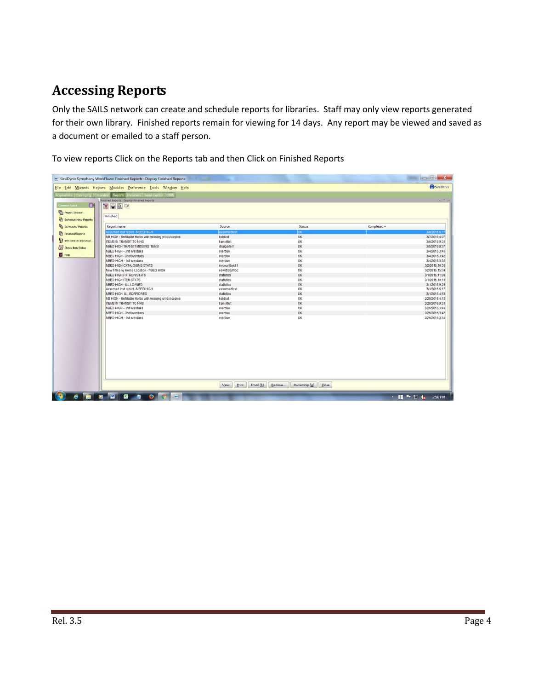## **Accessing Reports**

Only the SAILS network can create and schedule reports for libraries. Staff may only view reports generated for their own library. Finished reports remain for viewing for 14 days. Any report may be viewed and saved as a document or emailed to a staff person.

To view reports Click on the Reports tab and then Click on Finished Reports

|                                                                            | [38] SirsiDynix Symphony WorkFlows: Finished Reports : Display Finished Reports                                       |                                   |                     | $= 0 - X$                       |
|----------------------------------------------------------------------------|-----------------------------------------------------------------------------------------------------------------------|-----------------------------------|---------------------|---------------------------------|
|                                                                            | Eile Edit Wizards Helpers Modules Preference Tools Window Help                                                        |                                   |                     | SirsiDynix                      |
| coulsibons Cataloging Citcula<br>$\odot$<br>Commun Tasks<br>Report Session | Reports   Reserves   Berial Corbol   Utility<br><b>Rinstred Reports : Dispray Rinstred Reports</b><br>图画图<br>Finished |                                   |                     | $= 0.75$                        |
| Ch Schedule New Reports                                                    |                                                                                                                       |                                   |                     |                                 |
| <b>Rig Scheduled Reports</b>                                               | Report name                                                                                                           | Source                            | <b>Status</b>       | Completed «                     |
| <b>P</b> Finished Reports                                                  | HOIH CERRI-Troget Semuels                                                                                             | assumedioc                        | <b>OX</b>           | 3/8/2016.6.17                   |
| 23 tem Search and Displ.                                                   | NB HIGH - Unfiltable Holds with missing or lost copies                                                                | holdlist                          | <b>OK</b>           | 3/7/2016,4:07                   |
|                                                                            | ITEMS IN TRANSIT TO NHS                                                                                               | transittist                       | OK<br>OK            | 3/6/2016.9:31                   |
| Cy Check Rem Status                                                        | NBED HIGH TRANSIT MISSING ITEMS<br>NBED HIGH - 3rd overdues                                                           | chargeitem                        |                     | 3/5/2016,8:37                   |
| <b>B</b> Hop                                                               |                                                                                                                       | overdue                           | OK                  | 3/4/2016.3:46                   |
|                                                                            | NBED HIGH - 2nd overdues<br>NBED-HIGH - 1st overdues                                                                  | overdue<br>overdue                | OK<br>OK            | 3/4/2016,3:42                   |
|                                                                            | NBED HIGH CATALOGING STATS                                                                                            | invcountbvict1                    | OK.                 | 3/4/2016,3:35<br>3/2/2016.16.36 |
|                                                                            | New Titles by Home Location - NBED HIGH                                                                               | newtitistyhioc                    | OK                  | 3/2/2016 15:34                  |
|                                                                            | NBED HIGH PATRON STATS                                                                                                | statistics                        | OK                  | 3/1/2016.11:08                  |
|                                                                            | NBED HIGH ITEM STATS                                                                                                  | statistics                        | <b>OK</b>           | 3/1/2016.10.19                  |
|                                                                            | NBED HIGH - ILL LOANED                                                                                                | statistics                        | <b>OK</b>           | 3/1/2016,9:29                   |
|                                                                            | Assumed lost report - NBED HIGH                                                                                       | assumediost                       | OK                  | 3/1/2016.6:17                   |
|                                                                            | NBED HIGH ILL BORROWED                                                                                                | statistics                        | OK                  | 3/1/2016.4:53                   |
|                                                                            | NB HIGH - Unfillable Holds with missing or lost copies                                                                | holdlist                          | OK                  | 2/29/2016.4:12                  |
|                                                                            | <b>ITEMS IN TRANSIT TO NHS</b>                                                                                        | transittist                       | OK                  | 2/28/2016,9:31                  |
|                                                                            | NBED HIGH - 3rd overdues                                                                                              | overdue                           | OК                  | 2/26/2016;3:46                  |
|                                                                            | NBED HIGH - 2nd overdues                                                                                              | overdue                           | OK                  | 2/26/2016,3:42                  |
|                                                                            | NBED-HIGH - 1st overdues                                                                                              | overdue                           | OK                  | 2/26/2016.3:35                  |
|                                                                            |                                                                                                                       | Email (b) Remove<br>Vjew<br>Print | Ownership (g) Close |                                 |
|                                                                            | <b>e m a m 6 4 0 6</b><br>$-$                                                                                         |                                   |                     | 人类为物质<br>2:50 PM                |
|                                                                            |                                                                                                                       |                                   |                     |                                 |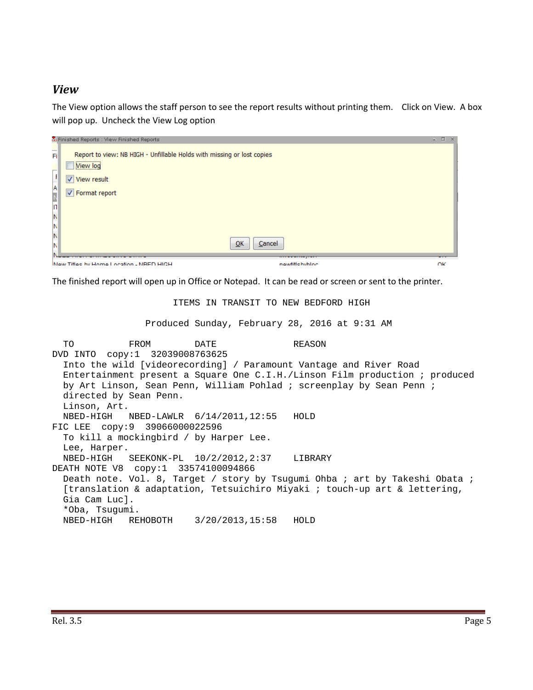#### *View*

The View option allows the staff person to see the report results without printing them. Click on View. A box will pop up. Uncheck the View Log option

| . Finished Reports : View Finished Reports                                                                                                                                                      |                | $\Box$<br>$\mathbf{x}$<br>w. |
|-------------------------------------------------------------------------------------------------------------------------------------------------------------------------------------------------|----------------|------------------------------|
| $\overline{F}$<br>Report to view: NB HIGH - Unfillable Holds with missing or lost copies<br>View log<br>$\overline{ }$<br>$\frac{F}{A}$<br>View result<br>V Format report<br>N<br>IN<br>N<br>IN | QK<br>Cancel   |                              |
| New Titles by Home Location - NRED HIGH                                                                                                                                                         | newfiftebybloc | ΩK                           |

The finished report will open up in Office or Notepad. It can be read or screen or sent to the printer.

ITEMS IN TRANSIT TO NEW BEDFORD HIGH

Produced Sunday, February 28, 2016 at 9:31 AM

```
TO FROM DATE REASON
DVD INTO copy:1 32039008763625 
  Into the wild [videorecording] / Paramount Vantage and River Road 
  Entertainment present a Square One C.I.H./Linson Film production ; produced 
  by Art Linson, Sean Penn, William Pohlad ; screenplay by Sean Penn ; 
  directed by Sean Penn. 
  Linson, Art. 
  NBED-HIGH NBED-LAWLR 6/14/2011,12:55 HOLD 
FIC LEE copy:9 39066000022596 
  To kill a mockingbird / by Harper Lee. 
  Lee, Harper. 
  NBED-HIGH SEEKONK-PL 10/2/2012,2:37 LIBRARY 
DEATH NOTE V8 copy:1 33574100094866 
 Death note. Vol. 8, Target / story by Tsugumi Ohba ; art by Takeshi Obata ;
  [translation & adaptation, Tetsuichiro Miyaki ; touch-up art & lettering, 
  Gia Cam Luc]. 
  *Oba, Tsugumi. 
  NBED-HIGH REHOBOTH 3/20/2013,15:58 HOLD
```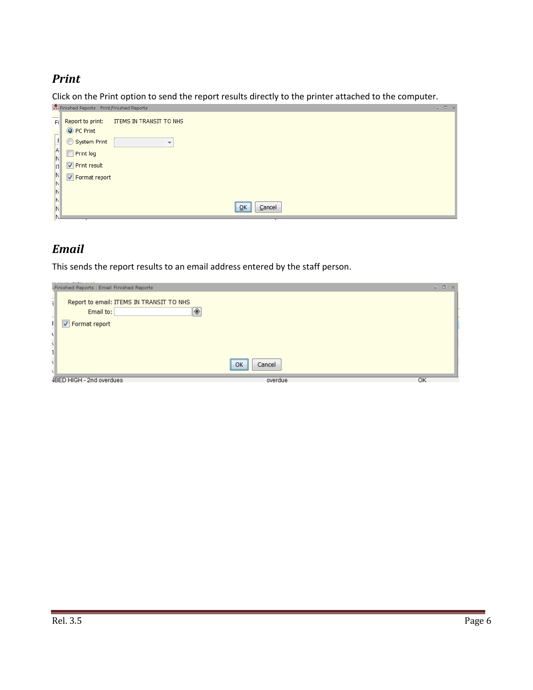#### *Print*

Click on the Print option to send the report results directly to the printer attached to the computer.

| $\frac{1}{2}$<br>Report to print:<br><b>ITEMS IN TRANSIT TO NHS</b><br>Fi<br>O PC Print<br>$\mathbf{F}$<br>System Print<br>$\frac{A}{N}$<br>$\Box$ Print $log$<br>$\overline{\mathsf{n}}$<br>$\sqrt{\phantom{a}}$ Print result<br>$\frac{N}{N}$<br>$\sqrt{ }$ Format report<br>IN<br>IN.<br>$\overline{\mathsf{O}}$ K<br>Cancel<br>IN |
|---------------------------------------------------------------------------------------------------------------------------------------------------------------------------------------------------------------------------------------------------------------------------------------------------------------------------------------|

## *Email*

This sends the report results to an email address entered by the staff person.

| Finished Reports : Email Finished Reports                              |                    | $ \Box$ $\times$ |
|------------------------------------------------------------------------|--------------------|------------------|
| ī.<br>Report to email: ITEMS IN TRANSIT TO NHS<br>◈<br>Email to:<br>-1 |                    |                  |
| Ŧ<br>$\sqrt{ }$ Format report                                          |                    |                  |
|                                                                        |                    |                  |
|                                                                        |                    |                  |
|                                                                        |                    |                  |
|                                                                        | Cancel<br>∥ ok<br> |                  |
| VBED HIGH - 2nd overdues                                               | overdue            | OK               |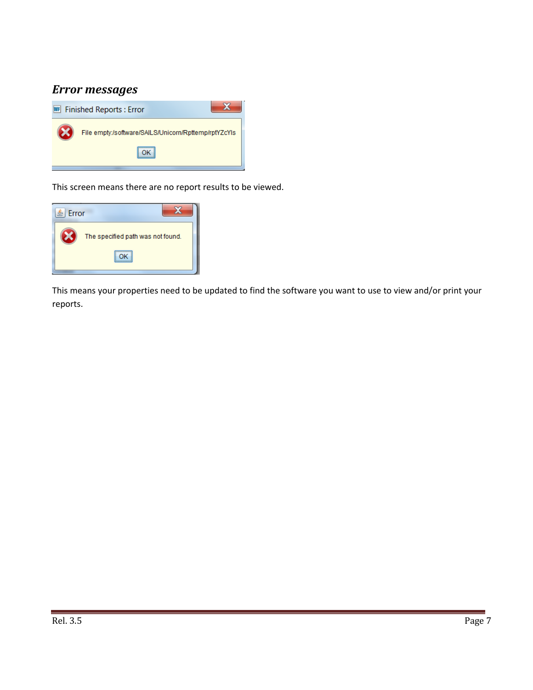## *Error messages*



This screen means there are no report results to be viewed.



This means your properties need to be updated to find the software you want to use to view and/or print your reports.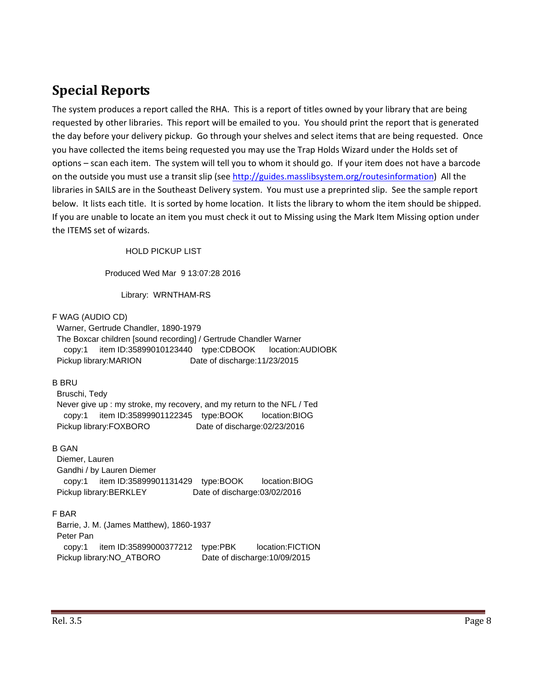## **Special Reports**

The system produces a report called the RHA. This is a report of titles owned by your library that are being requested by other libraries. This report will be emailed to you. You should print the report that is generated the day before your delivery pickup. Go through your shelves and select items that are being requested. Once you have collected the items being requested you may use the Trap Holds Wizard under the Holds set of options – scan each item. The system will tell you to whom it should go. If your item does not have a barcode on the outside you must use a transit slip (see http://guides.masslibsystem.org/routesinformation) All the libraries in SAILS are in the Southeast Delivery system. You must use a preprinted slip. See the sample report below. It lists each title. It is sorted by home location. It lists the library to whom the item should be shipped. If you are unable to locate an item you must check it out to Missing using the Mark Item Missing option under the ITEMS set of wizards.

HOLD PICKUP LIST

Produced Wed Mar 9 13:07:28 2016

Library: WRNTHAM-RS

F WAG (AUDIO CD)

 Warner, Gertrude Chandler, 1890-1979 The Boxcar children [sound recording] / Gertrude Chandler Warner copy:1 item ID:35899010123440 type:CDBOOK location:AUDIOBK Pickup library:MARION Date of discharge:11/23/2015

#### B BRU

 Bruschi, Tedy Never give up : my stroke, my recovery, and my return to the NFL / Ted copy:1 item ID:35899901122345 type:BOOK location:BIOG Pickup library:FOXBORO Date of discharge:02/23/2016

#### B GAN

 Diemer, Lauren Gandhi / by Lauren Diemer copy:1 item ID:35899901131429 type:BOOK location:BIOG Pickup library:BERKLEY Date of discharge:03/02/2016

#### F BAR

 Barrie, J. M. (James Matthew), 1860-1937 Peter Pan copy:1 item ID:35899000377212 type:PBK location:FICTION Pickup library:NO\_ATBORO Date of discharge:10/09/2015